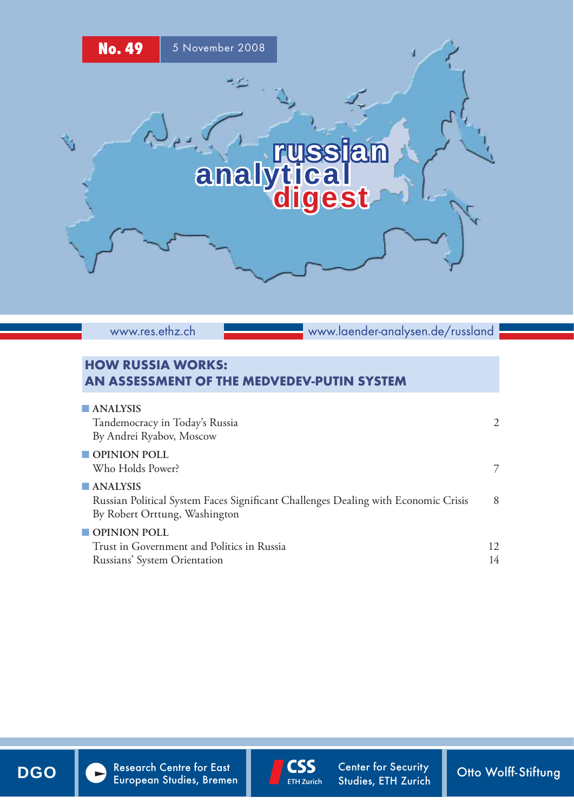

www.res.ethz.ch

www.laender-analysen.de/russland

## HOW RUSSIA WORKS: AN ASSESSMENT OF THE MEDVEDEV-PUTIN SYSTEM

| <b>ANALYSIS</b><br>Tandemocracy in Today's Russia<br>By Andrei Ryabov, Moscow                                                          | $\mathcal{L}$ |
|----------------------------------------------------------------------------------------------------------------------------------------|---------------|
| OPINION POLL<br>Who Holds Power?                                                                                                       | 7             |
| <b>ANALYSIS</b><br>Russian Political System Faces Significant Challenges Dealing with Economic Crisis<br>By Robert Orttung, Washington | 8             |
| $\blacksquare$ OPINION POLL                                                                                                            |               |
| Trust in Government and Politics in Russia                                                                                             | 12            |
| Russians' System Orientation                                                                                                           | 14            |



DGO Research Centre for East CSS Center for Security Otto Wolff-Stiftung



Center for Security Studies, ETH Zurich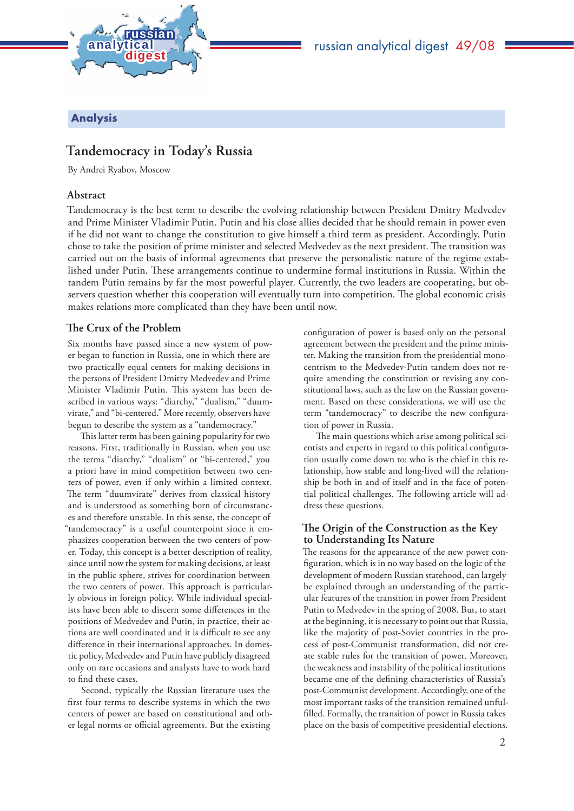

Analysis

# **Tandemocracy in Today's Russia**

By Andrei Ryabov, Moscow

### **Abstract**

Tandemocracy is the best term to describe the evolving relationship between President Dmitry Medvedev and Prime Minister Vladimir Putin. Putin and his close allies decided that he should remain in power even if he did not want to change the constitution to give himself a third term as president. Accordingly, Putin chose to take the position of prime minister and selected Medvedev as the next president. The transition was carried out on the basis of informal agreements that preserve the personalistic nature of the regime established under Putin. These arrangements continue to undermine formal institutions in Russia. Within the tandem Putin remains by far the most powerful player. Currently, the two leaders are cooperating, but observers question whether this cooperation will eventually turn into competition. The global economic crisis makes relations more complicated than they have been until now.

## **The Crux of the Problem**

Six months have passed since a new system of power began to function in Russia, one in which there are two practically equal centers for making decisions in the persons of President Dmitry Medvedev and Prime Minister Vladimir Putin. This system has been described in various ways: "diarchy," "dualism," "duumvirate," and "bi-centered." More recently, observers have begun to describe the system as a "tandemocracy."

This latter term has been gaining popularity for two reasons. First, traditionally in Russian, when you use the terms "diarchy," "dualism" or "bi-centered," you a priori have in mind competition between two centers of power, even if only within a limited context. The term "duumvirate" derives from classical history and is understood as something born of circumstances and therefore unstable. In this sense, the concept of "tandemocracy" is a useful counterpoint since it emphasizes cooperation between the two centers of power. Today, this concept is a better description of reality, since until now the system for making decisions, at least in the public sphere, strives for coordination between the two centers of power. This approach is particularly obvious in foreign policy. While individual specialists have been able to discern some differences in the positions of Medvedev and Putin, in practice, their actions are well coordinated and it is difficult to see any difference in their international approaches. In domestic policy, Medvedev and Putin have publicly disagreed only on rare occasions and analysts have to work hard to find these cases.

Second, typically the Russian literature uses the first four terms to describe systems in which the two centers of power are based on constitutional and other legal norms or official agreements. But the existing

configuration of power is based only on the personal agreement between the president and the prime minister. Making the transition from the presidential monocentrism to the Medvedev-Putin tandem does not require amending the constitution or revising any constitutional laws, such as the law on the Russian government. Based on these considerations, we will use the term "tandemocracy" to describe the new configuration of power in Russia.

The main questions which arise among political scientists and experts in regard to this political configuration usually come down to: who is the chief in this relationship, how stable and long-lived will the relationship be both in and of itself and in the face of potential political challenges. The following article will address these questions.

### The Origin of the Construction as the Key **to Understanding Its Nature**

The reasons for the appearance of the new power configuration, which is in no way based on the logic of the development of modern Russian statehood, can largely be explained through an understanding of the particular features of the transition in power from President Putin to Medvedev in the spring of 2008. But, to start at the beginning, it is necessary to point out that Russia, like the majority of post-Soviet countries in the process of post-Communist transformation, did not create stable rules for the transition of power. Moreover, the weakness and instability of the political institutions became one of the defining characteristics of Russia's post-Communist development. Accordingly, one of the most important tasks of the transition remained unfulfilled. Formally, the transition of power in Russia takes place on the basis of competitive presidential elections.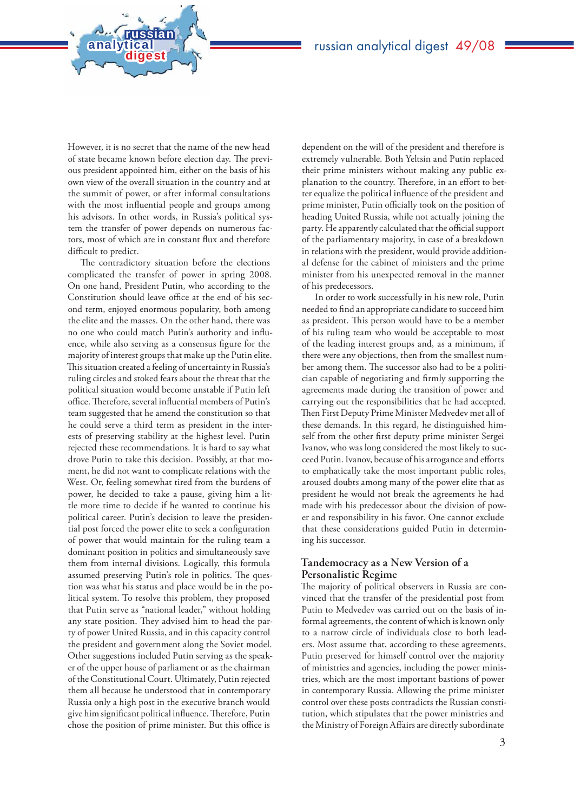However, it is no secret that the name of the new head of state became known before election day. The previous president appointed him, either on the basis of his own view of the overall situation in the country and at the summit of power, or after informal consultations with the most influential people and groups among his advisors. In other words, in Russia's political system the transfer of power depends on numerous factors, most of which are in constant flux and therefore difficult to predict.

**analytical<br>digest** 

russian

The contradictory situation before the elections complicated the transfer of power in spring 2008. On one hand, President Putin, who according to the Constitution should leave office at the end of his second term, enjoyed enormous popularity, both among the elite and the masses. On the other hand, there was no one who could match Putin's authority and influence, while also serving as a consensus figure for the majority of interest groups that make up the Putin elite. This situation created a feeling of uncertainty in Russia's ruling circles and stoked fears about the threat that the political situation would become unstable if Putin left office. Therefore, several influential members of Putin's team suggested that he amend the constitution so that he could serve a third term as president in the interests of preserving stability at the highest level. Putin rejected these recommendations. It is hard to say what drove Putin to take this decision. Possibly, at that moment, he did not want to complicate relations with the West. Or, feeling somewhat tired from the burdens of power, he decided to take a pause, giving him a little more time to decide if he wanted to continue his political career. Putin's decision to leave the presidential post forced the power elite to seek a configuration of power that would maintain for the ruling team a dominant position in politics and simultaneously save them from internal divisions. Logically, this formula assumed preserving Putin's role in politics. The question was what his status and place would be in the political system. To resolve this problem, they proposed that Putin serve as "national leader," without holding any state position. They advised him to head the party of power United Russia, and in this capacity control the president and government along the Soviet model. Other suggestions included Putin serving as the speaker of the upper house of parliament or as the chairman of the Constitutional Court. Ultimately, Putin rejected them all because he understood that in contemporary Russia only a high post in the executive branch would give him significant political influence. Therefore, Putin chose the position of prime minister. But this office is

dependent on the will of the president and therefore is extremely vulnerable. Both Yeltsin and Putin replaced their prime ministers without making any public explanation to the country. Therefore, in an effort to better equalize the political influence of the president and prime minister, Putin officially took on the position of heading United Russia, while not actually joining the party. He apparently calculated that the official support of the parliamentary majority, in case of a breakdown in relations with the president, would provide additional defense for the cabinet of ministers and the prime minister from his unexpected removal in the manner of his predecessors.

In order to work successfully in his new role, Putin needed to find an appropriate candidate to succeed him as president. This person would have to be a member of his ruling team who would be acceptable to most of the leading interest groups and, as a minimum, if there were any objections, then from the smallest number among them. The successor also had to be a politician capable of negotiating and firmly supporting the agreements made during the transition of power and carrying out the responsibilities that he had accepted. Then First Deputy Prime Minister Medvedev met all of these demands. In this regard, he distinguished himself from the other first deputy prime minister Sergei Ivanov, who was long considered the most likely to succeed Putin. Ivanov, because of his arrogance and efforts to emphatically take the most important public roles, aroused doubts among many of the power elite that as president he would not break the agreements he had made with his predecessor about the division of power and responsibility in his favor. One cannot exclude that these considerations guided Putin in determining his successor.

### **Tandemocracy as a New Version of a Personalistic Regime**

The majority of political observers in Russia are convinced that the transfer of the presidential post from Putin to Medvedev was carried out on the basis of informal agreements, the content of which is known only to a narrow circle of individuals close to both leaders. Most assume that, according to these agreements, Putin preserved for himself control over the majority of ministries and agencies, including the power ministries, which are the most important bastions of power in contemporary Russia. Allowing the prime minister control over these posts contradicts the Russian constitution, which stipulates that the power ministries and the Ministry of Foreign Affairs are directly subordinate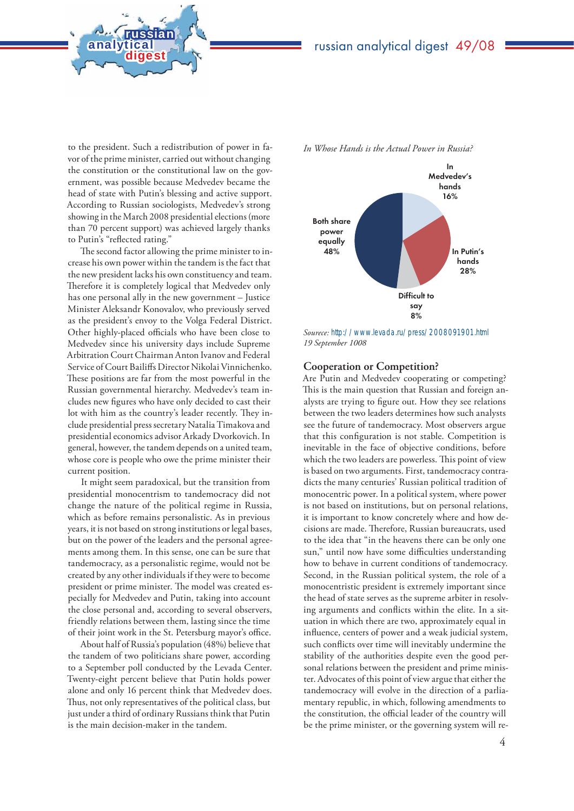

**analytical<br>digest** 

russian

The second factor allowing the prime minister to increase his own power within the tandem is the fact that the new president lacks his own constituency and team. Therefore it is completely logical that Medvedev only has one personal ally in the new government – Justice Minister Aleksandr Konovalov, who previously served as the president's envoy to the Volga Federal District. Other highly-placed officials who have been close to Medvedev since his university days include Supreme Arbitration Court Chairman Anton Ivanov and Federal Service of Court Bailiffs Director Nikolai Vinnichenko. These positions are far from the most powerful in the Russian governmental hierarchy. Medvedev's team includes new figures who have only decided to cast their lot with him as the country's leader recently. They include presidential press secretary Natalia Timakova and presidential economics advisor Arkady Dvorkovich. In general, however, the tandem depends on a united team, whose core is people who owe the prime minister their current position.

It might seem paradoxical, but the transition from presidential monocentrism to tandemocracy did not change the nature of the political regime in Russia, which as before remains personalistic. As in previous years, it is not based on strong institutions or legal bases, but on the power of the leaders and the personal agreements among them. In this sense, one can be sure that tandemocracy, as a personalistic regime, would not be created by any other individuals if they were to become president or prime minister. The model was created especially for Medvedev and Putin, taking into account the close personal and, according to several observers, friendly relations between them, lasting since the time of their joint work in the St. Petersburg mayor's office.

About half of Russia's population (48%) believe that the tandem of two politicians share power, according to a September poll conducted by the Levada Center. Twenty-eight percent believe that Putin holds power alone and only 16 percent think that Medvedev does. Thus, not only representatives of the political class, but just under a third of ordinary Russians think that Putin is the main decision-maker in the tandem.



*Sourece:* http://www.levada.ru/press/2008091901.html *19 September 1008*

#### **Cooperation or Competition?**

Are Putin and Medvedev cooperating or competing? This is the main question that Russian and foreign analysts are trying to figure out. How they see relations between the two leaders determines how such analysts see the future of tandemocracy. Most observers argue that this configuration is not stable. Competition is inevitable in the face of objective conditions, before which the two leaders are powerless. This point of view is based on two arguments. First, tandemocracy contradicts the many centuries' Russian political tradition of monocentric power. In a political system, where power is not based on institutions, but on personal relations, it is important to know concretely where and how decisions are made. Therefore, Russian bureaucrats, used to the idea that "in the heavens there can be only one sun," until now have some difficulties understanding how to behave in current conditions of tandemocracy. Second, in the Russian political system, the role of a monocentristic president is extremely important since the head of state serves as the supreme arbiter in resolving arguments and conflicts within the elite. In a situation in which there are two, approximately equal in influence, centers of power and a weak judicial system, such conflicts over time will inevitably undermine the stability of the authorities despite even the good personal relations between the president and prime minister. Advocates of this point of view argue that either the tandemocracy will evolve in the direction of a parliamentary republic, in which, following amendments to the constitution, the official leader of the country will be the prime minister, or the governing system will re-

*In Whose Hands is the Actual Power in Russia?*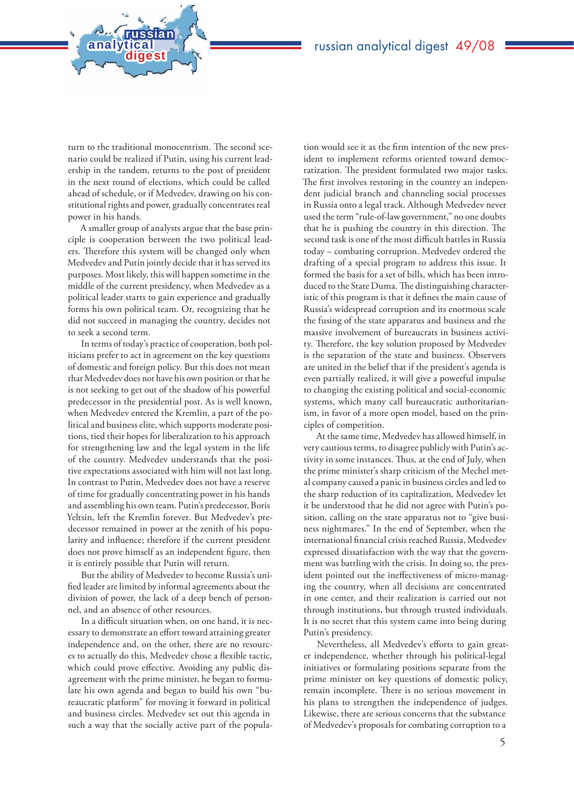turn to the traditional monocentrism. The second scenario could be realized if Putin, using his current leadership in the tandem, returns to the post of president in the next round of elections, which could be called ahead of schedule, or if Medvedev, drawing on his constitutional rights and power, gradually concentrates real power in his hands.

**analytical<br>digest** 

russian

A smaller group of analysts argue that the base principle is cooperation between the two political leaders. Therefore this system will be changed only when Medvedev and Putin jointly decide that it has served its purposes. Most likely, this will happen sometime in the middle of the current presidency, when Medvedev as a political leader starts to gain experience and gradually forms his own political team. Or, recognizing that he did not succeed in managing the country, decides not to seek a second term.

In terms of today's practice of cooperation, both politicians prefer to act in agreement on the key questions of domestic and foreign policy. But this does not mean that Medvedev does not have his own position or that he is not seeking to get out of the shadow of his powerful predecessor in the presidential post. As is well known, when Medvedev entered the Kremlin, a part of the political and business elite, which supports moderate positions, tied their hopes for liberalization to his approach for strengthening law and the legal system in the life of the country. Medvedev understands that the positive expectations associated with him will not last long. In contrast to Putin, Medvedev does not have a reserve of time for gradually concentrating power in his hands and assembling his own team. Putin's predecessor, Boris Yeltsin, left the Kremlin forever. But Medvedev's predecessor remained in power at the zenith of his popularity and influence; therefore if the current president does not prove himself as an independent figure, then it is entirely possible that Putin will return.

But the ability of Medvedev to become Russia's unified leader are limited by informal agreements about the division of power, the lack of a deep bench of personnel, and an absence of other resources.

In a difficult situation when, on one hand, it is necessary to demonstrate an effort toward attaining greater independence and, on the other, there are no resources to actually do this, Medvedev chose a flexible tactic, which could prove effective. Avoiding any public disagreement with the prime minister, he began to formulate his own agenda and began to build his own "bureaucratic platform" for moving it forward in political and business circles. Medvedev set out this agenda in such a way that the socially active part of the popula-

tion would see it as the firm intention of the new president to implement reforms oriented toward democratization. The president formulated two major tasks. The first involves restoring in the country an independent judicial branch and channeling social processes in Russia onto a legal track. Although Medvedev never used the term "rule-of-law government," no one doubts that he is pushing the country in this direction. The second task is one of the most difficult battles in Russia today – combating corruption. Medvedev ordered the drafting of a special program to address this issue. It formed the basis for a set of bills, which has been introduced to the State Duma. The distinguishing characteristic of this program is that it defines the main cause of Russia's widespread corruption and its enormous scale the fusing of the state apparatus and business and the massive involvement of bureaucrats in business activity. Therefore, the key solution proposed by Medvedev is the separation of the state and business. Observers are united in the belief that if the president's agenda is even partially realized, it will give a powerful impulse to changing the existing political and social-economic systems, which many call bureaucratic authoritarianism, in favor of a more open model, based on the principles of competition.

At the same time, Medvedev has allowed himself, in very cautious terms, to disagree publicly with Putin's activity in some instances. Thus, at the end of July, when the prime minister's sharp criticism of the Mechel metal company caused a panic in business circles and led to the sharp reduction of its capitalization, Medvedev let it be understood that he did not agree with Putin's position, calling on the state apparatus not to "give business nightmares." In the end of September, when the international financial crisis reached Russia, Medvedev expressed dissatisfaction with the way that the government was battling with the crisis. In doing so, the president pointed out the ineffectiveness of micro-managing the country, when all decisions are concentrated in one center, and their realization is carried out not through institutions, but through trusted individuals. It is no secret that this system came into being during Putin's presidency.

Nevertheless, all Medvedev's efforts to gain greater independence, whether through his political-legal initiatives or formulating positions separate from the prime minister on key questions of domestic policy, remain incomplete. There is no serious movement in his plans to strengthen the independence of judges. Likewise, there are serious concerns that the substance of Medvedev's proposals for combating corruption to a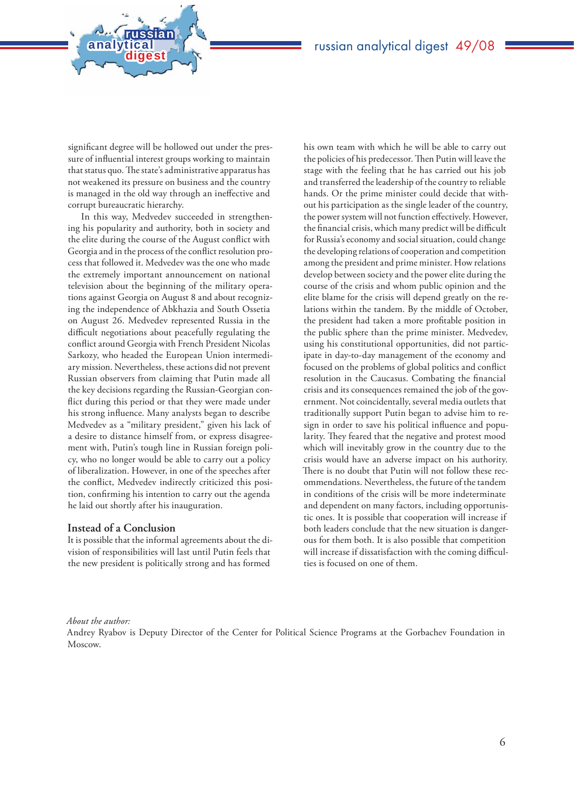significant degree will be hollowed out under the pressure of influential interest groups working to maintain that status quo. The state's administrative apparatus has not weakened its pressure on business and the country is managed in the old way through an ineffective and corrupt bureaucratic hierarchy.

**analytical<br>digest** 

russian

In this way, Medvedev succeeded in strengthening his popularity and authority, both in society and the elite during the course of the August conflict with Georgia and in the process of the conflict resolution process that followed it. Medvedev was the one who made the extremely important announcement on national television about the beginning of the military operations against Georgia on August 8 and about recognizing the independence of Abkhazia and South Ossetia on August 26. Medvedev represented Russia in the difficult negotiations about peacefully regulating the conflict around Georgia with French President Nicolas Sarkozy, who headed the European Union intermediary mission. Nevertheless, these actions did not prevent Russian observers from claiming that Putin made all the key decisions regarding the Russian-Georgian conflict during this period or that they were made under his strong influence. Many analysts began to describe Medvedev as a "military president," given his lack of a desire to distance himself from, or express disagreement with, Putin's tough line in Russian foreign policy, who no longer would be able to carry out a policy of liberalization. However, in one of the speeches after the conflict, Medvedev indirectly criticized this position, confirming his intention to carry out the agenda he laid out shortly after his inauguration.

#### **Instead of a Conclusion**

It is possible that the informal agreements about the division of responsibilities will last until Putin feels that the new president is politically strong and has formed

his own team with which he will be able to carry out the policies of his predecessor. Then Putin will leave the stage with the feeling that he has carried out his job and transferred the leadership of the country to reliable hands. Or the prime minister could decide that without his participation as the single leader of the country, the power system will not function effectively. However, the financial crisis, which many predict will be difficult for Russia's economy and social situation, could change the developing relations of cooperation and competition among the president and prime minister. How relations develop between society and the power elite during the course of the crisis and whom public opinion and the elite blame for the crisis will depend greatly on the relations within the tandem. By the middle of October, the president had taken a more profitable position in the public sphere than the prime minister. Medvedev, using his constitutional opportunities, did not participate in day-to-day management of the economy and focused on the problems of global politics and conflict resolution in the Caucasus. Combating the financial crisis and its consequences remained the job of the government. Not coincidentally, several media outlets that traditionally support Putin began to advise him to resign in order to save his political influence and popularity. They feared that the negative and protest mood which will inevitably grow in the country due to the crisis would have an adverse impact on his authority. There is no doubt that Putin will not follow these recommendations. Nevertheless, the future of the tandem in conditions of the crisis will be more indeterminate and dependent on many factors, including opportunistic ones. It is possible that cooperation will increase if both leaders conclude that the new situation is dangerous for them both. It is also possible that competition will increase if dissatisfaction with the coming difficulties is focused on one of them.

#### *About the author:*

Andrey Ryabov is Deputy Director of the Center for Political Science Programs at the Gorbachev Foundation in Moscow.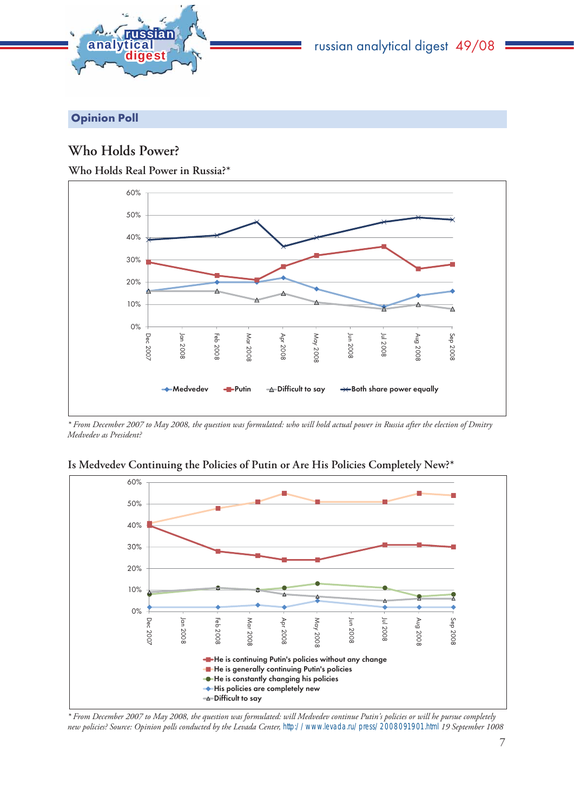

# russian analytical digest 49/08

Opinion Poll

## **Who Holds Power?**

**Who Holds Real Power in Russia?\***



*\* From December 2007 to May 2008, the question was formulated: who will hold actual power in Russia after the election of Dmitry Medvedev as President?* 



**Is Medvedev Continuing the Policies of Putin or Are His Policies Completely New?\***

*\* From December 2007 to May 2008, the question was formulated: will Medvedev continue Putin's policies or will he pursue completely new policies? Source: Opinion polls conducted by the Levada Center,* http://www.levada.ru/press/2008091901.html *19 September 1008*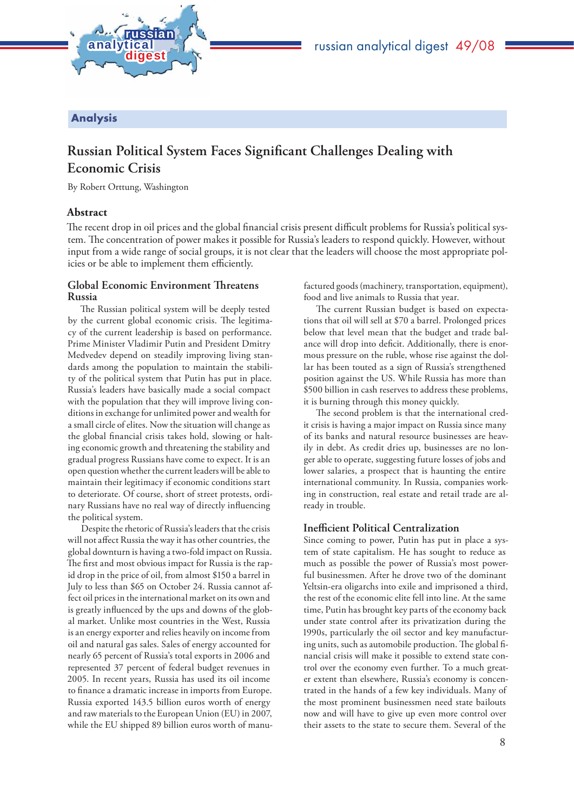

## Analysis

# **Russian Political System Faces Significant Challenges Dealing with Economic Crisis**

By Robert Orttung, Washington

### **Abstract**

The recent drop in oil prices and the global financial crisis present difficult problems for Russia's political system. The concentration of power makes it possible for Russia's leaders to respond quickly. However, without input from a wide range of social groups, it is not clear that the leaders will choose the most appropriate policies or be able to implement them efficiently.

#### **Global Economic Environment Th reatens Russia**

The Russian political system will be deeply tested by the current global economic crisis. The legitimacy of the current leadership is based on performance. Prime Minister Vladimir Putin and President Dmitry Medvedev depend on steadily improving living standards among the population to maintain the stability of the political system that Putin has put in place. Russia's leaders have basically made a social compact with the population that they will improve living conditions in exchange for unlimited power and wealth for a small circle of elites. Now the situation will change as the global financial crisis takes hold, slowing or halting economic growth and threatening the stability and gradual progress Russians have come to expect. It is an open question whether the current leaders will be able to maintain their legitimacy if economic conditions start to deteriorate. Of course, short of street protests, ordinary Russians have no real way of directly influencing the political system.

Despite the rhetoric of Russia's leaders that the crisis will not affect Russia the way it has other countries, the global downturn is having a two-fold impact on Russia. The first and most obvious impact for Russia is the rapid drop in the price of oil, from almost \$150 a barrel in July to less than \$65 on October 24. Russia cannot affect oil prices in the international market on its own and is greatly influenced by the ups and downs of the global market. Unlike most countries in the West, Russia is an energy exporter and relies heavily on income from oil and natural gas sales. Sales of energy accounted for nearly 65 percent of Russia's total exports in 2006 and represented 37 percent of federal budget revenues in 2005. In recent years, Russia has used its oil income to finance a dramatic increase in imports from Europe. Russia exported 143.5 billion euros worth of energy and raw materials to the European Union (EU) in 2007, while the EU shipped 89 billion euros worth of manufactured goods (machinery, transportation, equipment), food and live animals to Russia that year.

The current Russian budget is based on expectations that oil will sell at \$70 a barrel. Prolonged prices below that level mean that the budget and trade balance will drop into deficit. Additionally, there is enormous pressure on the ruble, whose rise against the dollar has been touted as a sign of Russia's strengthened position against the US. While Russia has more than \$500 billion in cash reserves to address these problems, it is burning through this money quickly.

The second problem is that the international credit crisis is having a major impact on Russia since many of its banks and natural resource businesses are heavily in debt. As credit dries up, businesses are no longer able to operate, suggesting future losses of jobs and lower salaries, a prospect that is haunting the entire international community. In Russia, companies working in construction, real estate and retail trade are already in trouble.

#### **Inefficient Political Centralization**

Since coming to power, Putin has put in place a system of state capitalism. He has sought to reduce as much as possible the power of Russia's most powerful businessmen. After he drove two of the dominant Yeltsin-era oligarchs into exile and imprisoned a third, the rest of the economic elite fell into line. At the same time, Putin has brought key parts of the economy back under state control after its privatization during the 1990s, particularly the oil sector and key manufacturing units, such as automobile production. The global financial crisis will make it possible to extend state control over the economy even further. To a much greater extent than elsewhere, Russia's economy is concentrated in the hands of a few key individuals. Many of the most prominent businessmen need state bailouts now and will have to give up even more control over their assets to the state to secure them. Several of the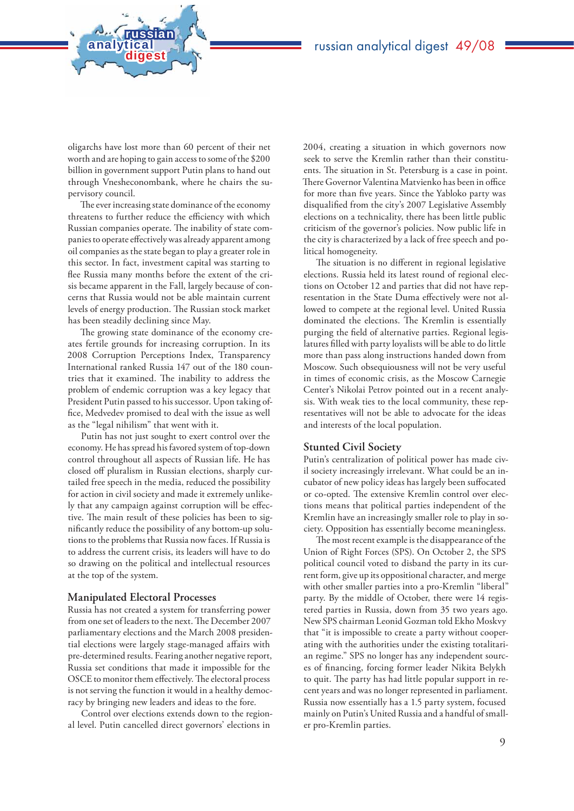oligarchs have lost more than 60 percent of their net worth and are hoping to gain access to some of the \$200 billion in government support Putin plans to hand out through Vnesheconombank, where he chairs the supervisory council.

**analytical<br>digest** 

russian

The ever increasing state dominance of the economy threatens to further reduce the efficiency with which Russian companies operate. The inability of state companies to operate effectively was already apparent among oil companies as the state began to play a greater role in this sector. In fact, investment capital was starting to flee Russia many months before the extent of the crisis became apparent in the Fall, largely because of concerns that Russia would not be able maintain current levels of energy production. The Russian stock market has been steadily declining since May.

The growing state dominance of the economy creates fertile grounds for increasing corruption. In its 2008 Corruption Perceptions Index, Transparency International ranked Russia 147 out of the 180 countries that it examined. The inability to address the problem of endemic corruption was a key legacy that President Putin passed to his successor. Upon taking office, Medvedev promised to deal with the issue as well as the "legal nihilism" that went with it.

Putin has not just sought to exert control over the economy. He has spread his favored system of top-down control throughout all aspects of Russian life. He has closed off pluralism in Russian elections, sharply curtailed free speech in the media, reduced the possibility for action in civil society and made it extremely unlikely that any campaign against corruption will be effective. The main result of these policies has been to significantly reduce the possibility of any bottom-up solutions to the problems that Russia now faces. If Russia is to address the current crisis, its leaders will have to do so drawing on the political and intellectual resources at the top of the system.

#### **Manipulated Electoral Processes**

Russia has not created a system for transferring power from one set of leaders to the next. The December 2007 parliamentary elections and the March 2008 presidential elections were largely stage-managed affairs with pre-determined results. Fearing another negative report, Russia set conditions that made it impossible for the OSCE to monitor them effectively. The electoral process is not serving the function it would in a healthy democracy by bringing new leaders and ideas to the fore.

Control over elections extends down to the regional level. Putin cancelled direct governors' elections in

2004, creating a situation in which governors now seek to serve the Kremlin rather than their constituents. The situation in St. Petersburg is a case in point. There Governor Valentina Matvienko has been in office for more than five years. Since the Yabloko party was disqualified from the city's 2007 Legislative Assembly elections on a technicality, there has been little public criticism of the governor's policies. Now public life in the city is characterized by a lack of free speech and political homogeneity.

The situation is no different in regional legislative elections. Russia held its latest round of regional elections on October 12 and parties that did not have representation in the State Duma effectively were not allowed to compete at the regional level. United Russia dominated the elections. The Kremlin is essentially purging the field of alternative parties. Regional legislatures filled with party loyalists will be able to do little more than pass along instructions handed down from Moscow. Such obsequiousness will not be very useful in times of economic crisis, as the Moscow Carnegie Center's Nikolai Petrov pointed out in a recent analysis. With weak ties to the local community, these representatives will not be able to advocate for the ideas and interests of the local population.

#### **Stunted Civil Society**

Putin's centralization of political power has made civil society increasingly irrelevant. What could be an incubator of new policy ideas has largely been suffocated or co-opted. The extensive Kremlin control over elections means that political parties independent of the Kremlin have an increasingly smaller role to play in society. Opposition has essentially become meaningless.

The most recent example is the disappearance of the Union of Right Forces (SPS). On October 2, the SPS political council voted to disband the party in its current form, give up its oppositional character, and merge with other smaller parties into a pro-Kremlin "liberal" party. By the middle of October, there were 14 registered parties in Russia, down from 35 two years ago. New SPS chairman Leonid Gozman told Ekho Moskvy that "it is impossible to create a party without cooperating with the authorities under the existing totalitarian regime." SPS no longer has any independent sources of financing, forcing former leader Nikita Belykh to quit. The party has had little popular support in recent years and was no longer represented in parliament. Russia now essentially has a 1.5 party system, focused mainly on Putin's United Russia and a handful of smaller pro-Kremlin parties.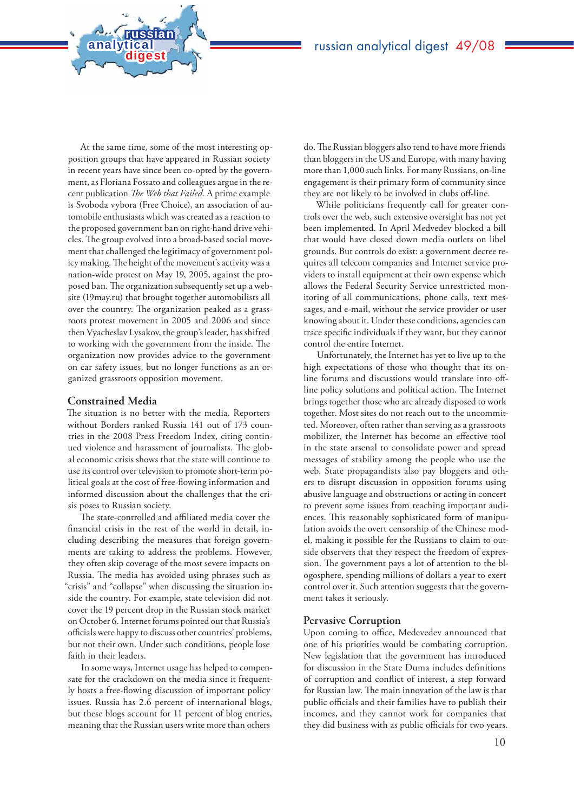At the same time, some of the most interesting opposition groups that have appeared in Russian society in recent years have since been co-opted by the government, as Floriana Fossato and colleagues argue in the recent publication *The Web that Failed*. A prime example is Svoboda vybora (Free Choice), an association of automobile enthusiasts which was created as a reaction to the proposed government ban on right-hand drive vehicles. The group evolved into a broad-based social movement that challenged the legitimacy of government policy making. The height of the movement's activity was a nation-wide protest on May 19, 2005, against the proposed ban. The organization subsequently set up a website (19may.ru) that brought together automobilists all over the country. The organization peaked as a grassroots protest movement in 2005 and 2006 and since then Vyacheslav Lysakov, the group's leader, has shifted to working with the government from the inside. The organization now provides advice to the government on car safety issues, but no longer functions as an organized grassroots opposition movement.

**analytical<br>digest** 

russian

### **Constrained Media**

The situation is no better with the media. Reporters without Borders ranked Russia 141 out of 173 countries in the 2008 Press Freedom Index, citing continued violence and harassment of journalists. The global economic crisis shows that the state will continue to use its control over television to promote short-term political goals at the cost of free-flowing information and informed discussion about the challenges that the crisis poses to Russian society.

.<br>The state-controlled and affiliated media cover the financial crisis in the rest of the world in detail, including describing the measures that foreign governments are taking to address the problems. However, they often skip coverage of the most severe impacts on Russia. The media has avoided using phrases such as "crisis" and "collapse" when discussing the situation inside the country. For example, state television did not cover the 19 percent drop in the Russian stock market on October 6. Internet forums pointed out that Russia's officials were happy to discuss other countries' problems, but not their own. Under such conditions, people lose faith in their leaders.

In some ways, Internet usage has helped to compensate for the crackdown on the media since it frequently hosts a free-flowing discussion of important policy issues. Russia has 2.6 percent of international blogs, but these blogs account for 11 percent of blog entries, meaning that the Russian users write more than others

do. The Russian bloggers also tend to have more friends than bloggers in the US and Europe, with many having more than 1,000 such links. For many Russians, on-line engagement is their primary form of community since they are not likely to be involved in clubs off-line.

While politicians frequently call for greater controls over the web, such extensive oversight has not yet been implemented. In April Medvedev blocked a bill that would have closed down media outlets on libel grounds. But controls do exist: a government decree requires all telecom companies and Internet service providers to install equipment at their own expense which allows the Federal Security Service unrestricted monitoring of all communications, phone calls, text messages, and e-mail, without the service provider or user knowing about it. Under these conditions, agencies can trace specific individuals if they want, but they cannot control the entire Internet.

Unfortunately, the Internet has yet to live up to the high expectations of those who thought that its online forums and discussions would translate into offline policy solutions and political action. The Internet brings together those who are already disposed to work together. Most sites do not reach out to the uncommitted. Moreover, often rather than serving as a grassroots mobilizer, the Internet has become an effective tool in the state arsenal to consolidate power and spread messages of stability among the people who use the web. State propagandists also pay bloggers and others to disrupt discussion in opposition forums using abusive language and obstructions or acting in concert to prevent some issues from reaching important audiences. This reasonably sophisticated form of manipulation avoids the overt censorship of the Chinese model, making it possible for the Russians to claim to outside observers that they respect the freedom of expression. The government pays a lot of attention to the blogosphere, spending millions of dollars a year to exert control over it. Such attention suggests that the government takes it seriously.

#### **Pervasive Corruption**

Upon coming to office, Medevedev announced that one of his priorities would be combating corruption. New legislation that the government has introduced for discussion in the State Duma includes definitions of corruption and conflict of interest, a step forward for Russian law. The main innovation of the law is that public officials and their families have to publish their incomes, and they cannot work for companies that they did business with as public officials for two years.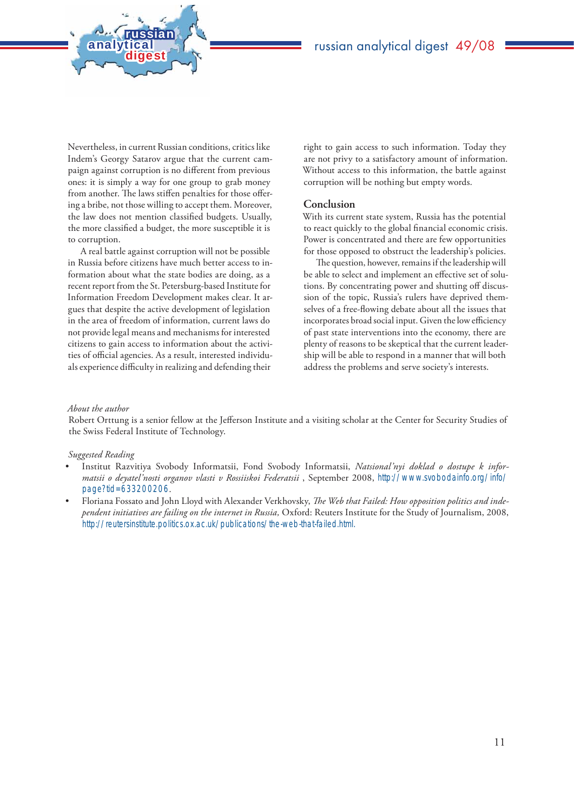

Nevertheless, in current Russian conditions, critics like Indem's Georgy Satarov argue that the current campaign against corruption is no different from previous ones: it is simply a way for one group to grab money from another. The laws stiffen penalties for those offering a bribe, not those willing to accept them. Moreover, the law does not mention classified budgets. Usually, the more classified a budget, the more susceptible it is to corruption.

**analytical<br>digest** 

russian

A real battle against corruption will not be possible in Russia before citizens have much better access to information about what the state bodies are doing, as a recent report from the St. Petersburg-based Institute for Information Freedom Development makes clear. It argues that despite the active development of legislation in the area of freedom of information, current laws do not provide legal means and mechanisms for interested citizens to gain access to information about the activities of official agencies. As a result, interested individuals experience difficulty in realizing and defending their

right to gain access to such information. Today they are not privy to a satisfactory amount of information. Without access to this information, the battle against corruption will be nothing but empty words.

#### **Conclusion**

With its current state system, Russia has the potential to react quickly to the global financial economic crisis. Power is concentrated and there are few opportunities for those opposed to obstruct the leadership's policies.

The question, however, remains if the leadership will be able to select and implement an effective set of solutions. By concentrating power and shutting off discussion of the topic, Russia's rulers have deprived themselves of a free-flowing debate about all the issues that incorporates broad social input. Given the low efficiency of past state interventions into the economy, there are plenty of reasons to be skeptical that the current leadership will be able to respond in a manner that will both address the problems and serve society's interests.

#### *About the author*

Robert Orttung is a senior fellow at the Jefferson Institute and a visiting scholar at the Center for Security Studies of the Swiss Federal Institute of Technology.

#### *Suggested Reading*

- Institut Razvitiya Svobody Informatsii, Fond Svobody Informatsii, *Natsional'nyi doklad o dostupe k informatsii o deyatel'nosti organov vlasti v Rossiiskoi Federatsii* , September 2008, http://www.svobodainfo.org/info/ page?tid=633200206.
- Floriana Fossato and John Lloyd with Alexander Verkhovsky, The Web that Failed: How opposition politics and inde*pendent initiatives are failing on the internet in Russia,* Oxford: Reuters Institute for the Study of Journalism, 2008, http://reutersinstitute.politics.ox.ac.uk/publications/the-web-that-failed.html.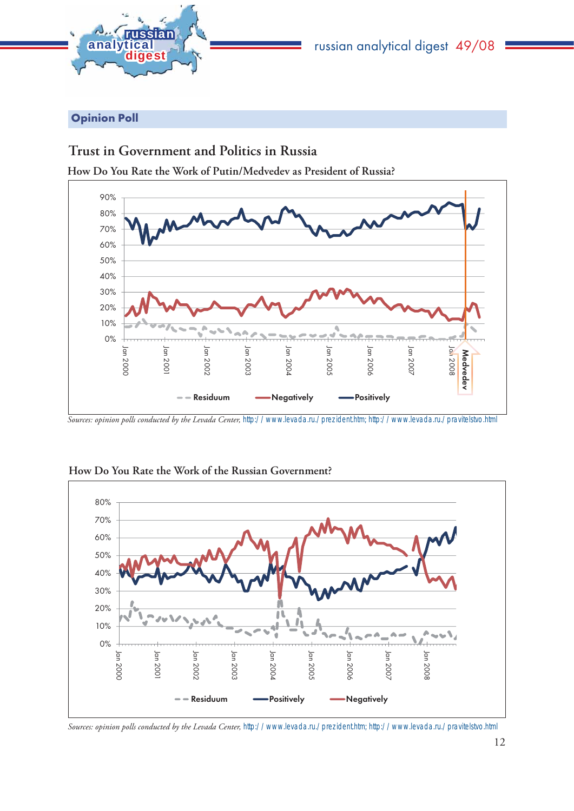

## Opinion Poll

## **Trust in Government and Politics in Russia**

**How Do You Rate the Work of Putin/Medvedev as President of Russia?**



*Sources: opinion polls conducted by the Levada Center,* http://www.levada.ru./prezident.htm; http://www.levada.ru./pravitelstvo.html



**How Do You Rate the Work of the Russian Government?**

*Sources: opinion polls conducted by the Levada Center,* http://www.levada.ru./prezident.htm; http://www.levada.ru./pravitelstvo.html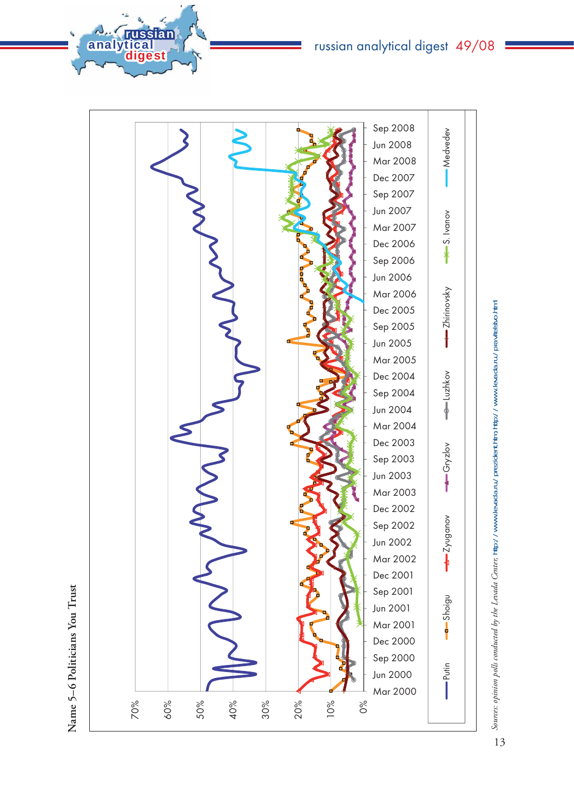analytical<br>digest

**Name 5–6 Politicians You Trust**

Name 5-6 Politicians You Trust



Sources: opinion polls conducted by the Levada Center, http://www.levada.ru./prezident.htm; http://www.levada.ru./pravilelstvo.html *Sources: opinion polls conducted by the Levada Center,* http://www.levada.ru./prezident.htm; http://www.levada.ru./pravitelstvo.html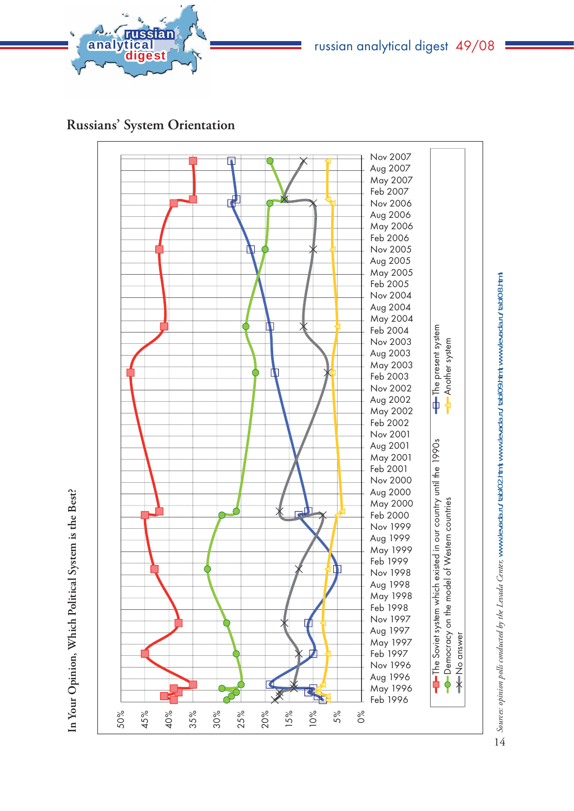

# russian analytical digest 49/08

**Russians' System Orientation**



In Your Opinion, Which Political System is the Best? **In Your Opinion, Which Political System is the Best?**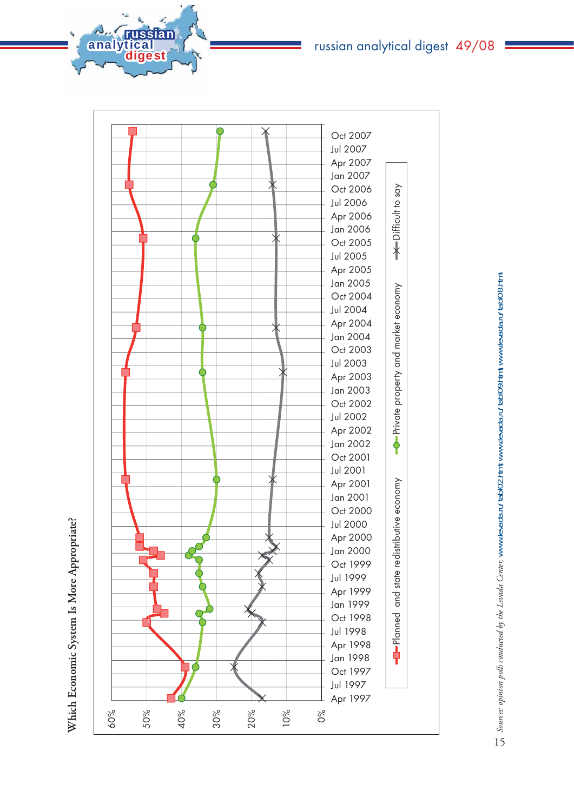Which Economic System Is More Appropriate? **Which Economic System Is More Appropriate?**

**A<sub>na</sub> russian**<br>analytical<br>manalytical



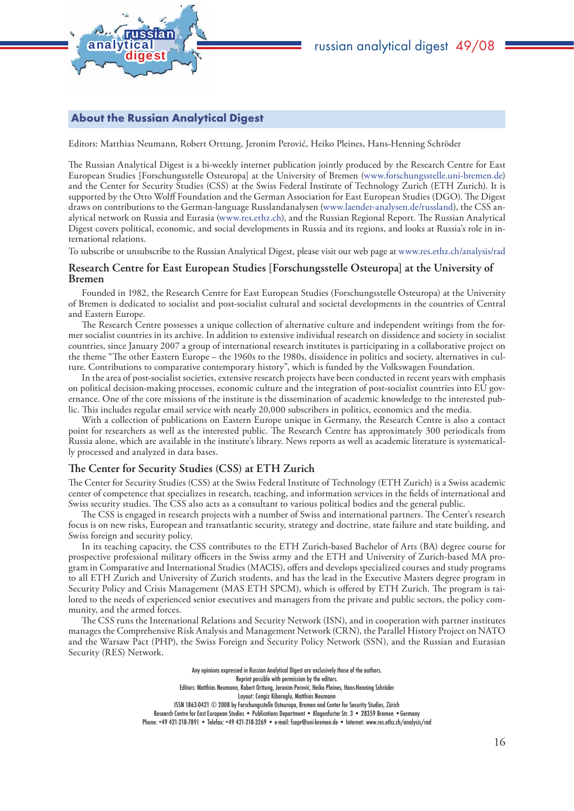

## russian analytical digest 49/08

### About the Russian Analytical Digest

Editors: Matthias Neumann, Robert Orttung, Jeronim Perović, Heiko Pleines, Hans-Henning Schröder

The Russian Analytical Digest is a bi-weekly internet publication jointly produced by the Research Centre for East European Studies [Forschungsstelle Osteuropa] at the University of Bremen (www.forschungsstelle.uni-bremen.de) and the Center for Security Studies (CSS) at the Swiss Federal Institute of Technology Zurich (ETH Zurich). It is supported by the Otto Wolff Foundation and the German Association for East European Studies (DGO). The Digest draws on contributions to the German-language Russlandanalysen (www.laender-analysen.de/russland), the CSS analytical network on Russia and Eurasia (www.res.ethz.ch), and the Russian Regional Report. The Russian Analytical Digest covers political, economic, and social developments in Russia and its regions, and looks at Russia's role in international relations.

To subscribe or unsubscribe to the Russian Analytical Digest, please visit our web page at www.res.ethz.ch/analysis/rad

#### **Research Centre for East European Studies [Forschungsstelle Osteuropa] at the University of Bremen**

Founded in 1982, the Research Centre for East European Studies (Forschungsstelle Osteuropa) at the University of Bremen is dedicated to socialist and post-socialist cultural and societal developments in the countries of Central and Eastern Europe.

The Research Centre possesses a unique collection of alternative culture and independent writings from the former socialist countries in its archive. In addition to extensive individual research on dissidence and society in socialist countries, since January 2007 a group of international research institutes is participating in a collaborative project on the theme "The other Eastern Europe – the 1960s to the 1980s, dissidence in politics and society, alternatives in culture. Contributions to comparative contemporary history", which is funded by the Volkswagen Foundation.

In the area of post-socialist societies, extensive research projects have been conducted in recent years with emphasis on political decision-making processes, economic culture and the integration of post-socialist countries into EU governance. One of the core missions of the institute is the dissemination of academic knowledge to the interested public. This includes regular email service with nearly 20,000 subscribers in politics, economics and the media.

With a collection of publications on Eastern Europe unique in Germany, the Research Centre is also a contact point for researchers as well as the interested public. The Research Centre has approximately 300 periodicals from Russia alone, which are available in the institute's library. News reports as well as academic literature is systematically processed and analyzed in data bases.

#### The Center for Security Studies (CSS) at ETH Zurich

The Center for Security Studies (CSS) at the Swiss Federal Institute of Technology (ETH Zurich) is a Swiss academic center of competence that specializes in research, teaching, and information services in the fields of international and Swiss security studies. The CSS also acts as a consultant to various political bodies and the general public.

The CSS is engaged in research projects with a number of Swiss and international partners. The Center's research focus is on new risks, European and transatlantic security, strategy and doctrine, state failure and state building, and Swiss foreign and security policy.

In its teaching capacity, the CSS contributes to the ETH Zurich-based Bachelor of Arts (BA) degree course for prospective professional military officers in the Swiss army and the ETH and University of Zurich-based MA program in Comparative and International Studies (MACIS), offers and develops specialized courses and study programs to all ETH Zurich and University of Zurich students, and has the lead in the Executive Masters degree program in Security Policy and Crisis Management (MAS ETH SPCM), which is offered by ETH Zurich. The program is tailored to the needs of experienced senior executives and managers from the private and public sectors, the policy community, and the armed forces.

The CSS runs the International Relations and Security Network (ISN), and in cooperation with partner institutes manages the Comprehensive Risk Analysis and Management Network (CRN), the Parallel History Project on NATO and the Warsaw Pact (PHP), the Swiss Foreign and Security Policy Network (SSN), and the Russian and Eurasian Security (RES) Network.

> Any opinions expressed in Russian Analytical Digest are exclusively those of the authors. Reprint possible with permission by the editors. Editors: Matthias Neumann, Robert Orttung, Jeronim Perović, Heiko Pleines, Hans-Henning Schröder Layout: Cengiz Kibaroglu, Matthias Neumann ISSN 1863-0421 © 2008 by Forschungsstelle Osteuropa, Bremen and Center for Security Studies, Zürich Research Centre for East European Studies • Publications Department • Klagenfurter Str. 3 • 28359 Bremen •Germany Phone: +49 421-218-7891 • Telefax: +49 421-218-3269 • e-mail: fsopr@uni-bremen.de • Internet: www.res.ethz.ch/analysis/rad